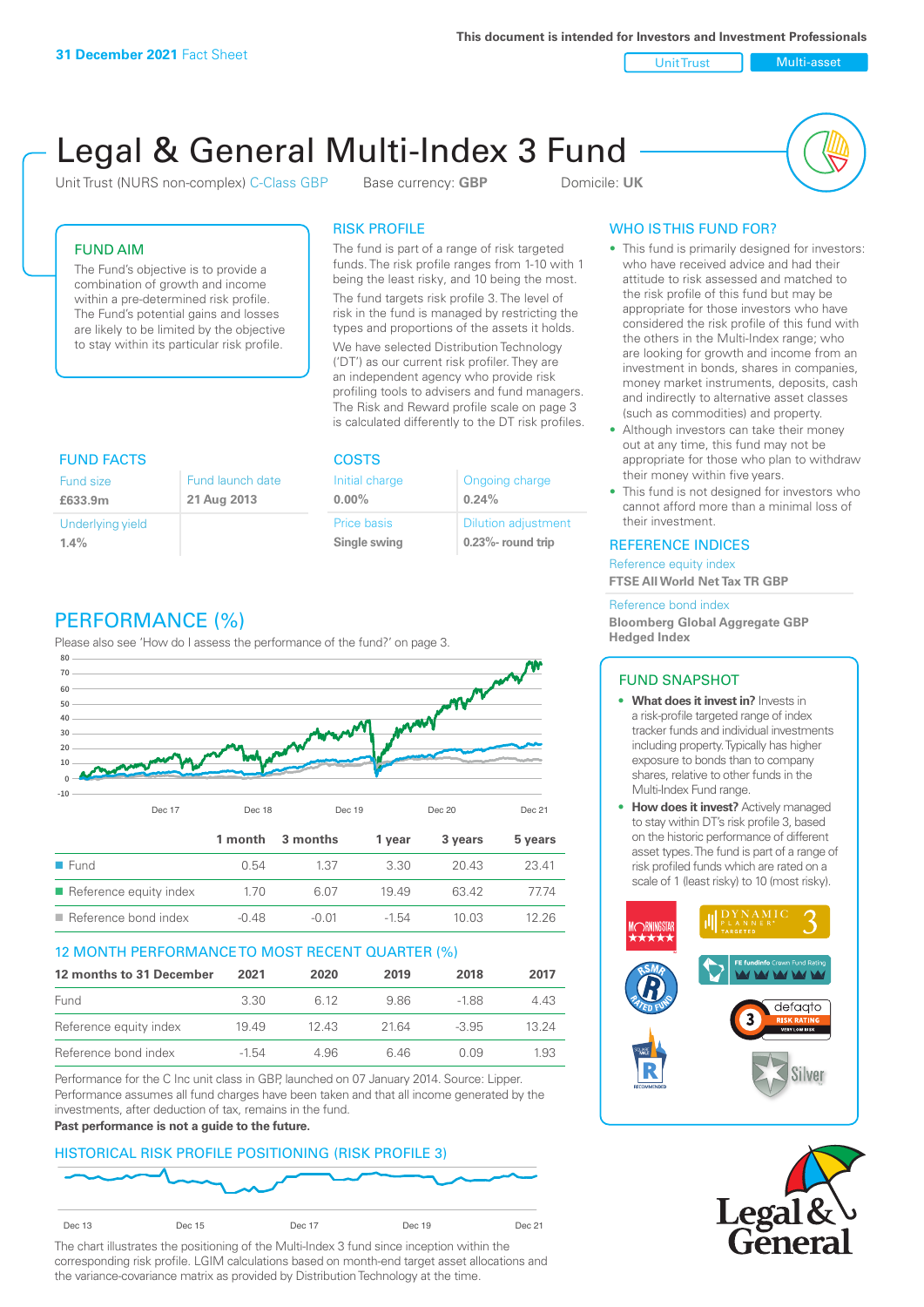**This document is intended for Investors and Investment Professionals**

Unit Trust Nulti-asset

# Legal & General Multi-Index 3 Fund

Unit Trust (NURS non-complex) C-Class GBP Base currency: **GBP** Domicile: UK



## FUND AIM

The Fund's objective is to provide a combination of growth and income within a pre-determined risk profile. The Fund's potential gains and losses are likely to be limited by the objective to stay within its particular risk profile.

### RISK PROFILE

The fund is part of a range of risk targeted funds. The risk profile ranges from 1-10 with 1 being the least risky, and 10 being the most.

The fund targets risk profile 3. The level of risk in the fund is managed by restricting the types and proportions of the assets it holds. We have selected Distribution Technology ('DT') as our current risk profiler. They are an independent agency who provide risk profiling tools to advisers and fund managers. The Risk and Reward profile scale on page 3 is calculated differently to the DT risk profiles.

| <b>FUND FACTS</b> |                  | <b>COSTS</b>   |                            |  |
|-------------------|------------------|----------------|----------------------------|--|
| Fund size         | Fund launch date | Initial charge | Ongoing charge             |  |
| £633.9m           | 21 Aug 2013      | $0.00\%$       | 0.24%                      |  |
| Underlying yield  |                  | Price basis    | <b>Dilution adjustment</b> |  |
| 1.4%              |                  | Single swing   | 0.23%- round trip          |  |

# PERFORMANCE (%)

Please also see 'How do I assess the performance of the fund?' on page 3.



#### 12 MONTH PERFORMANCE TO MOST RECENT QUARTER (%)

| 12 months to 31 December | 2021  | 2020  | 2019  | 2018    | 2017  |
|--------------------------|-------|-------|-------|---------|-------|
| Fund                     | 3.30  | 6.12  | 986   | -188    | 4.43  |
| Reference equity index   | 1949  | 12.43 | 21.64 | $-3.95$ | 13 24 |
| Reference bond index     | -1.54 | 4.96  | 646   | O 0.9   | 1.93  |

Performance for the C Inc unit class in GBP, launched on 07 January 2014. Source: Lipper. Performance assumes all fund charges have been taken and that all income generated by the investments, after deduction of tax, remains in the fund.

#### **Past performance is not a guide to the future.**

## HISTORICAL RISK PROFILE POSITIONING (RISK PROFILE 3)



The chart illustrates the positioning of the Multi-Index 3 fund since inception within the corresponding risk profile. LGIM calculations based on month-end target asset allocations and the variance-covariance matrix as provided by Distribution Technology at the time.

# WHO IS THIS FUND FOR?

- This fund is primarily designed for investors: who have received advice and had their attitude to risk assessed and matched to the risk profile of this fund but may be appropriate for those investors who have considered the risk profile of this fund with the others in the Multi-Index range; who are looking for growth and income from an investment in bonds, shares in companies, money market instruments, deposits, cash and indirectly to alternative asset classes (such as commodities) and property.
- Although investors can take their money out at any time, this fund may not be appropriate for those who plan to withdraw their money within five years.
- This fund is not designed for investors who cannot afford more than a minimal loss of their investment.

#### REFERENCE INDICES

Reference equity index **FTSE All World Net Tax TR GBP**

#### Reference bond index

**Bloomberg Global Aggregate GBP Hedged Index**

#### FUND SNAPSHOT

- **• What does it invest in?** Invests in a risk-profile targeted range of index tracker funds and individual investments including property. Typically has higher exposure to bonds than to company shares, relative to other funds in the Multi-Index Fund range.
- **• How does it invest?** Actively managed to stay within DT's risk profile 3, based on the historic performance of different asset types. The fund is part of a range of risk profiled funds which are rated on a scale of 1 (least risky) to 10 (most risky).



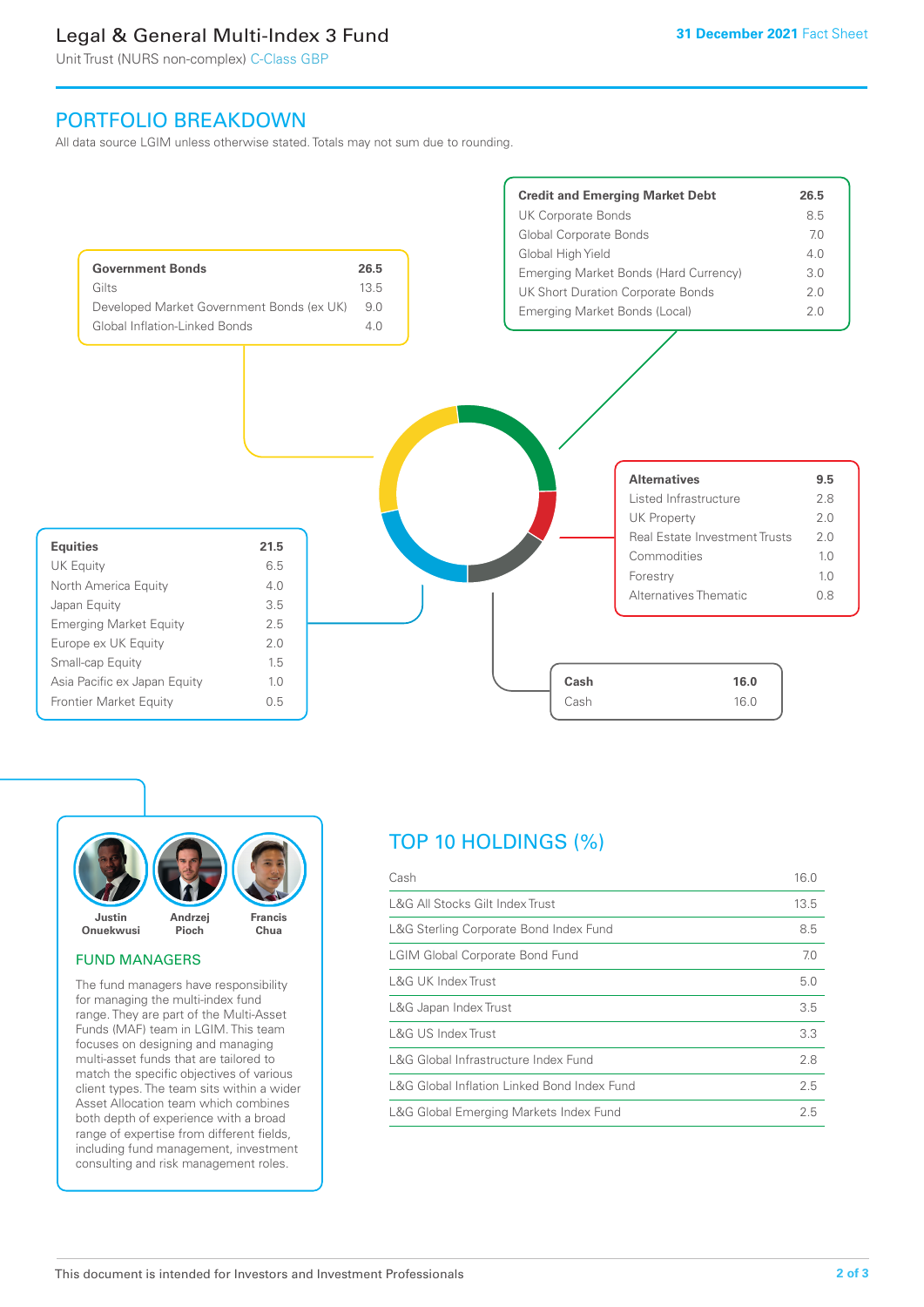# Legal & General Multi-Index 3 Fund

Unit Trust (NURS non-complex) C-Class GBP

# PORTFOLIO BREAKDOWN

All data source LGIM unless otherwise stated. Totals may not sum due to rounding.





#### FUND MANAGERS

The fund managers have responsibility for managing the multi-index fund range. They are part of the Multi-Asset Funds (MAF) team in LGIM. This team focuses on designing and managing multi-asset funds that are tailored to match the specific objectives of various client types. The team sits within a wider Asset Allocation team which combines both depth of experience with a broad range of expertise from different fields, including fund management, investment consulting and risk management roles.

# TOP 10 HOLDINGS (%)

| Cash                                        | 16.0 |
|---------------------------------------------|------|
| L&G All Stocks Gilt Index Trust             | 13.5 |
| L&G Sterling Corporate Bond Index Fund      | 8.5  |
| <b>LGIM Global Corporate Bond Fund</b>      | 7.0  |
| L&G UK Index Trust                          | 5.0  |
| L&G Japan Index Trust                       | 3.5  |
| L&G US Index Trust                          | 3.3  |
| L&G Global Infrastructure Index Fund        | 2.8  |
| L&G Global Inflation Linked Bond Index Fund | 2.5  |
| L&G Global Emerging Markets Index Fund      | 2.5  |